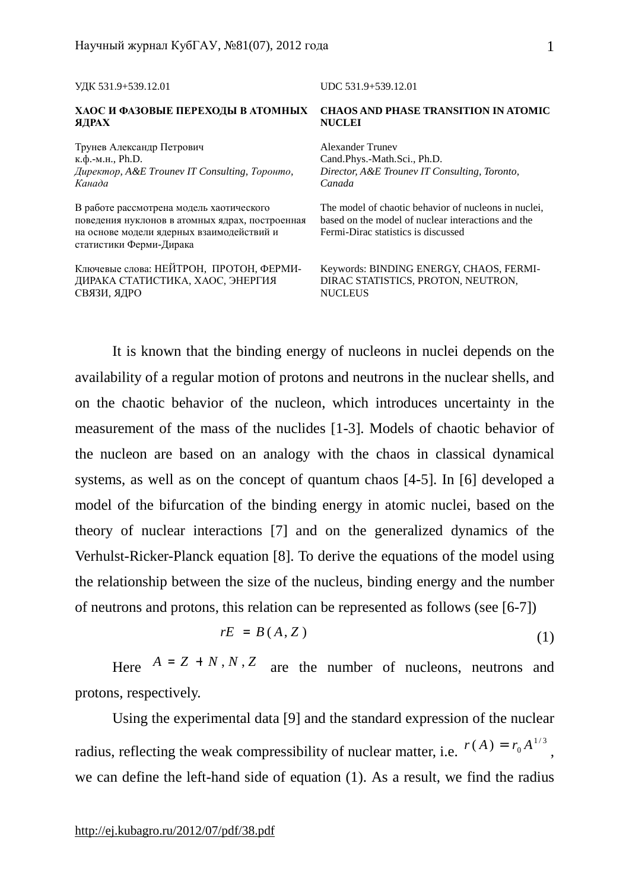| УДК 531.9+539.12.01                                                                                                                                                 | UDC 531.9+539.12.01                                                                                                                               |
|---------------------------------------------------------------------------------------------------------------------------------------------------------------------|---------------------------------------------------------------------------------------------------------------------------------------------------|
| ХАОС И ФАЗОВЫЕ ПЕРЕХОДЫ В АТОМНЫХ                                                                                                                                   | <b>CHAOS AND PHASE TRANSITION IN ATOMIC</b>                                                                                                       |
| ЯДРАХ                                                                                                                                                               | <b>NUCLEI</b>                                                                                                                                     |
| Трунев Александр Петрович                                                                                                                                           | Alexander Truney                                                                                                                                  |
| к.ф.-м.н., Ph.D.                                                                                                                                                    | Cand.Phys.-Math.Sci., Ph.D.                                                                                                                       |
| Директор, A&E Trounev IT Consulting, Торонто,                                                                                                                       | Director, A&E Trounev IT Consulting, Toronto,                                                                                                     |
| Канада                                                                                                                                                              | Canada                                                                                                                                            |
| В работе рассмотрена модель хаотического<br>поведения нуклонов в атомных ядрах, построенная<br>на основе модели ядерных взаимодействий и<br>статистики Ферми-Дирака | The model of chaotic behavior of nucleons in nuclei,<br>based on the model of nuclear interactions and the<br>Fermi-Dirac statistics is discussed |
| Ключевые слова: НЕЙТРОН, ПРОТОН, ФЕРМИ-                                                                                                                             | Keywords: BINDING ENERGY, CHAOS, FERMI-                                                                                                           |
| ДИРАКА СТАТИСТИКА, ХАОС, ЭНЕРГИЯ                                                                                                                                    | DIRAC STATISTICS, PROTON, NEUTRON,                                                                                                                |
| СВЯЗИ, ЯДРО                                                                                                                                                         | <b>NUCLEUS</b>                                                                                                                                    |

It is known that the binding energy of nucleons in nuclei depends on the availability of a regular motion of protons and neutrons in the nuclear shells, and on the chaotic behavior of the nucleon, which introduces uncertainty in the measurement of the mass of the nuclides [1-3]. Models of chaotic behavior of the nucleon are based on an analogy with the chaos in classical dynamical systems, as well as on the concept of quantum chaos [4-5]. In [6] developed a model of the bifurcation of the binding energy in atomic nuclei, based on the theory of nuclear interactions [7] and on the generalized dynamics of the Verhulst-Ricker-Planck equation [8]. To derive the equations of the model using the relationship between the size of the nucleus, binding energy and the number of neutrons and protons, this relation can be represented as follows (see [6-7])

$$
rE = B(A, Z) \tag{1}
$$

Here  $A = Z + N, N, Z$  are the number of nucleons, neutrons and protons, respectively.

Using the experimental data [9] and the standard expression of the nuclear radius, reflecting the weak compressibility of nuclear matter, i.e.  $r(A) = r_0 A^{1/3}$  $r(A) = r_0 A^{1/3},$ we can define the left-hand side of equation (1). As a result, we find the radius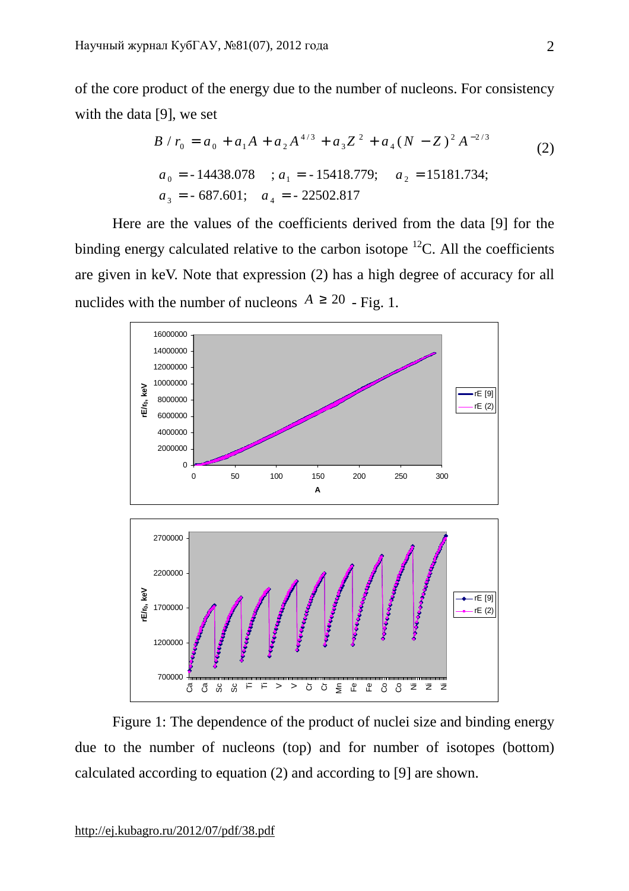of the core product of the energy due to the number of nucleons. For consistency with the data [9], we set

$$
B / r_0 = a_0 + a_1 A + a_2 A^{4/3} + a_3 Z^2 + a_4 (N - Z)^2 A^{-2/3}
$$
\n
$$
a_0 = -14438.078 \quad ; a_1 = -15418.779; \quad a_2 = 15181.734;
$$
\n
$$
a_3 = -687.601; \quad a_4 = -22502.817
$$
\n(2)

Here are the values of the coefficients derived from the data [9] for the binding energy calculated relative to the carbon isotope  ${}^{12}C$ . All the coefficients are given in keV. Note that expression (2) has a high degree of accuracy for all nuclides with the number of nucleons  $A \ge 20$  - Fig. 1.



Figure 1: The dependence of the product of nuclei size and binding energy due to the number of nucleons (top) and for number of isotopes (bottom) calculated according to equation (2) and according to [9] are shown.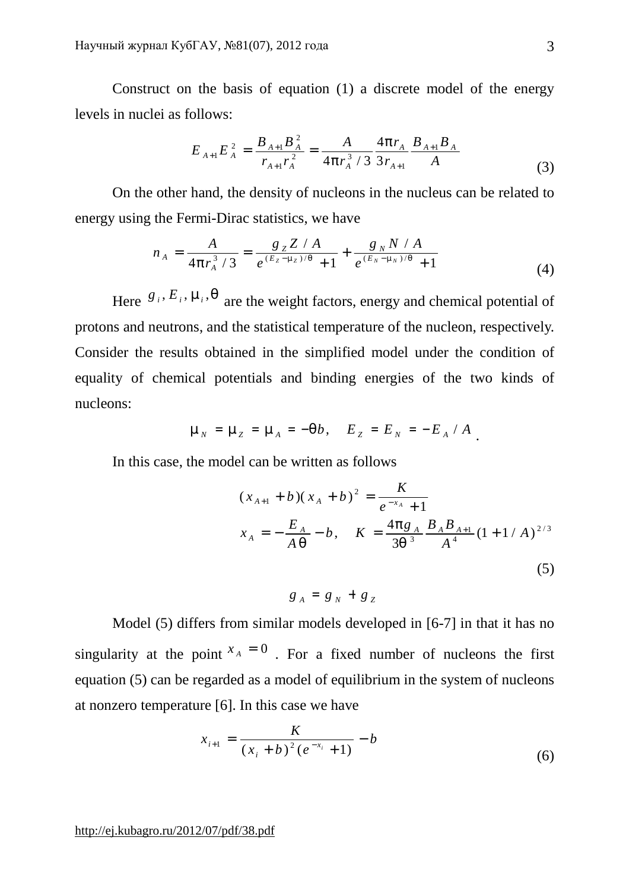Construct on the basis of equation (1) a discrete model of the energy levels in nuclei as follows:

$$
E_{A+1}E_A^2 = \frac{B_{A+1}B_A^2}{r_{A+1}r_A^2} = \frac{A}{4pr_A^3/3} \frac{4pr_A}{3r_{A+1}} \frac{B_{A+1}B_A}{A}
$$
(3)

On the other hand, the density of nucleons in the nucleus can be related to energy using the Fermi-Dirac statistics, we have

$$
n_A = \frac{A}{4pr_A^3/3} = \frac{g_Z Z/A}{e^{(E_Z - m_Z)/q} + 1} + \frac{g_N N/A}{e^{(E_N - m_N)/q} + 1}
$$
(4)

Here  $g_i$ ,  $E_i$ ,  $m_i$ ,  $q$  are the weight factors, energy and chemical potential of protons and neutrons, and the statistical temperature of the nucleon, respectively. Consider the results obtained in the simplified model under the condition of equality of chemical potentials and binding energies of the two kinds of nucleons:

$$
m_N = m_Z = m_A = -qb
$$
,  $E_Z = E_N = -E_A / A$ .

In this case, the model can be written as follows

$$
(x_{A+1} + b)(x_A + b)^2 = \frac{K}{e^{-x_A} + 1}
$$
  

$$
x_A = -\frac{E_A}{Aq} - b, \quad K = \frac{4pg_A}{3q^3} \frac{B_A B_{A+1}}{A^4} (1 + 1/A)^{2/3}
$$
  
(5)

$$
g_A = g_N + g_Z
$$

Model (5) differs from similar models developed in [6-7] in that it has no singularity at the point  $x_A = 0$ . For a fixed number of nucleons the first equation (5) can be regarded as a model of equilibrium in the system of nucleons at nonzero temperature [6]. In this case we have

$$
x_{i+1} = \frac{K}{(x_i + b)^2 (e^{-x_i} + 1)} - b
$$
\n<sup>(6)</sup>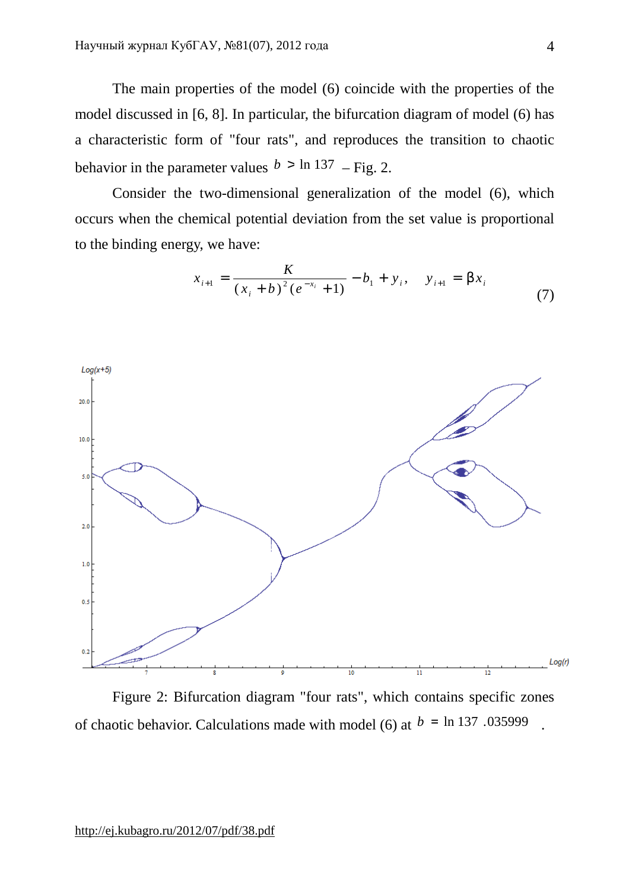The main properties of the model (6) coincide with the properties of the model discussed in [6, 8]. In particular, the bifurcation diagram of model (6) has a characteristic form of "four rats", and reproduces the transition to chaotic behavior in the parameter values  $b > \ln 137$  – Fig. 2.

Consider the two-dimensional generalization of the model (6), which occurs when the chemical potential deviation from the set value is proportional to the binding energy, we have:

| \n $Log(x+5)$ \n |
|------------------|
| \n $log(x+5)$ \n |
| \n $log(x+5)$ \n |
| \n $log(x+5)$ \n |
| \n $log(x+5)$ \n |
| \n $log(x+5)$ \n |
| \n $log(x)$ \n   |
| \n $log(x)$ \n   |

$$
x_{i+1} = \frac{K}{(x_i + b)^2 (e^{-x_i} + 1)} - b_1 + y_i, \quad y_{i+1} = bx_i
$$
 (7)

Figure 2: Bifurcation diagram "four rats", which contains specific zones of chaotic behavior. Calculations made with model (6) at  $b = \ln 137$ . 035999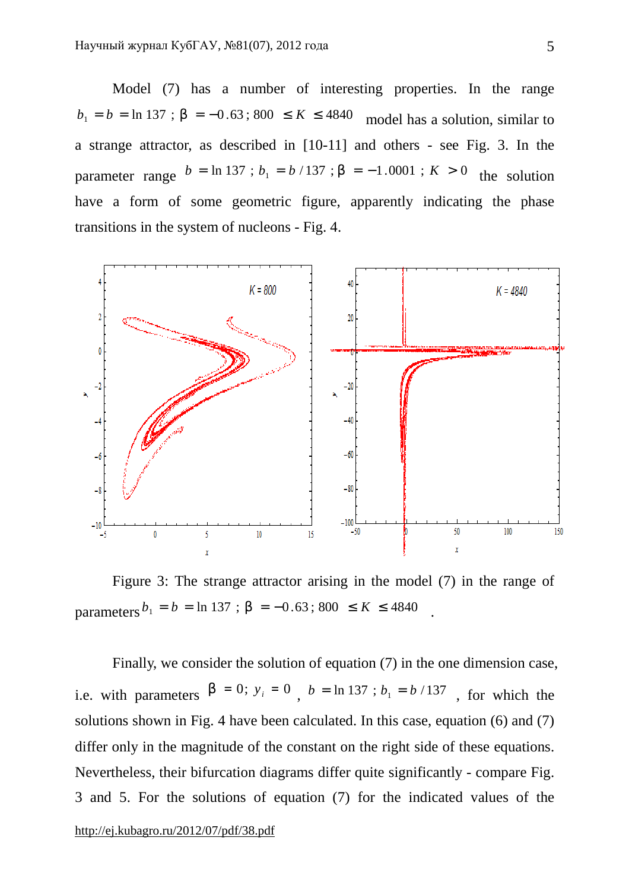Model (7) has a number of interesting properties. In the range *b*<sub>1</sub> = *b* = ln 137 ; *b* = −0.63; 800 ≤ *K* ≤ 4840 model has a solution, similar to a strange attractor, as described in [10-11] and others - see Fig. 3. In the parameter range  $b = \ln 137$ ;  $b_1 = b / 137$ ;  $b = -1.0001$ ;  $K > 0$  the solution have a form of some geometric figure, apparently indicating the phase transitions in the system of nucleons - Fig. 4.



Figure 3: The strange attractor arising in the model (7) in the range of  $parameters^{b_1} = b = \ln 137$ ;  $b = -0.63$ ; 800 ≤  $K \le 4840$ .

Finally, we consider the solution of equation (7) in the one dimension case, i.e. with parameters  $\mathbf{b} = 0$ ;  $y_i = 0$ ,  $\mathbf{b} = \ln 137$ ;  $b_1 = \frac{b}{137}$ , for which the solutions shown in Fig. 4 have been calculated. In this case, equation (6) and (7) differ only in the magnitude of the constant on the right side of these equations. Nevertheless, their bifurcation diagrams differ quite significantly - compare Fig. 3 and 5. For the solutions of equation (7) for the indicated values of the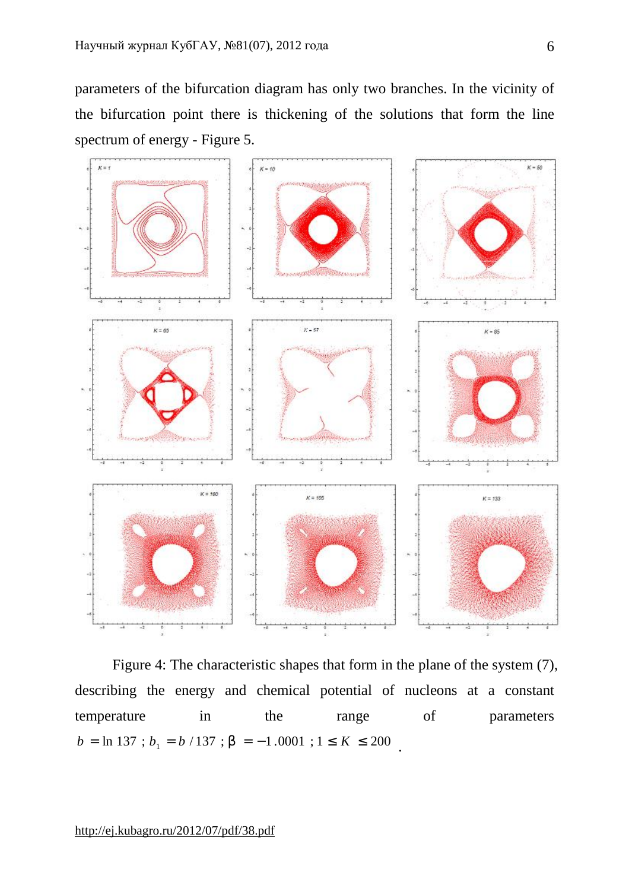parameters of the bifurcation diagram has only two branches. In the vicinity of the bifurcation point there is thickening of the solutions that form the line spectrum of energy - Figure 5.



Figure 4: The characteristic shapes that form in the plane of the system (7), describing the energy and chemical potential of nucleons at a constant temperature in the range of parameters  $b = \ln 137$ ;  $b_1 = b / 137$ ;  $b = -1.0001$ ;  $1 \le K \le 200$ .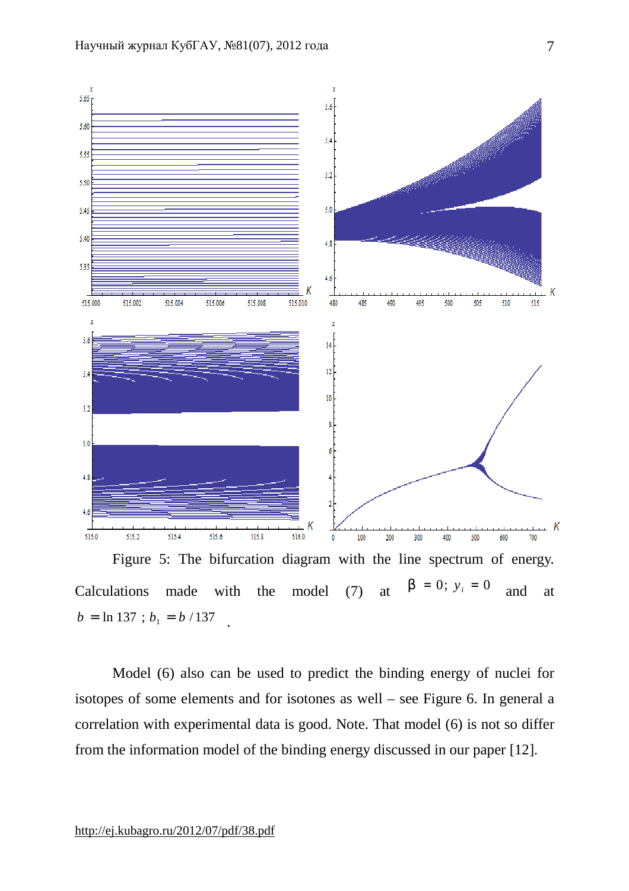

 $b = \ln 137$ ;  $b_1 = b / 137$ .

Model (6) also can be used to predict the binding energy of nuclei for isotopes of some elements and for isotones as well – see Figure 6. In general a correlation with experimental data is good. Note. That model (6) is not so differ from the information model of the binding energy discussed in our paper [12].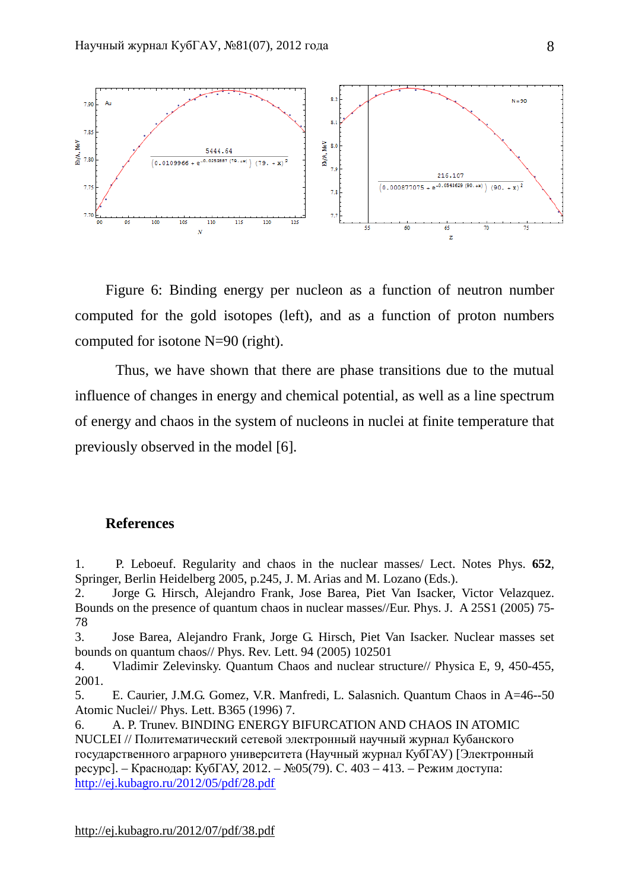

Figure 6: Binding energy per nucleon as a function of neutron number computed for the gold isotopes (left), and as a function of proton numbers computed for isotone N=90 (right).

Thus, we have shown that there are phase transitions due to the mutual influence of changes in energy and chemical potential, as well as a line spectrum of energy and chaos in the system of nucleons in nuclei at finite temperature that previously observed in the model [6].

## **References**

1. P. Leboeuf. Regularity and chaos in the nuclear masses/ Lect. Notes Phys. **652**, Springer, Berlin Heidelberg 2005, p.245, J. M. Arias and M. Lozano (Eds.).

2. Jorge G. Hirsch, Alejandro Frank, Jose Barea, Piet Van Isacker, Victor Velazquez. Bounds on the presence of quantum chaos in nuclear masses//Eur. Phys. J. A 25S1 (2005) 75- 78

3. Jose Barea, Alejandro Frank, Jorge G. Hirsch, Piet Van Isacker. Nuclear masses set bounds on quantum chaos// Phys. Rev. Lett. 94 (2005) 102501

4. Vladimir Zelevinsky. Quantum Chaos and nuclear structure// Physica E, 9, 450-455, 2001.

5. E. Caurier, J.M.G. Gomez, V.R. Manfredi, L. Salasnich. Quantum Chaos in A=46--50 Atomic Nuclei// Phys. Lett. B365 (1996) 7.

6. A. P. Trunev. BINDING ENERGY BIFURCATION AND CHAOS IN ATOMIC NUCLEI // Политематический сетевой электронный научный журнал Кубанского государственного аграрного университета (Научный журнал КубГАУ) [Электронный ресурс]. – Краснодар: КубГАУ, 2012. – №05(79). С. 403 – 413. – Режим доступа: <http://ej.kubagro.ru/2012/05/pdf/28.pdf>